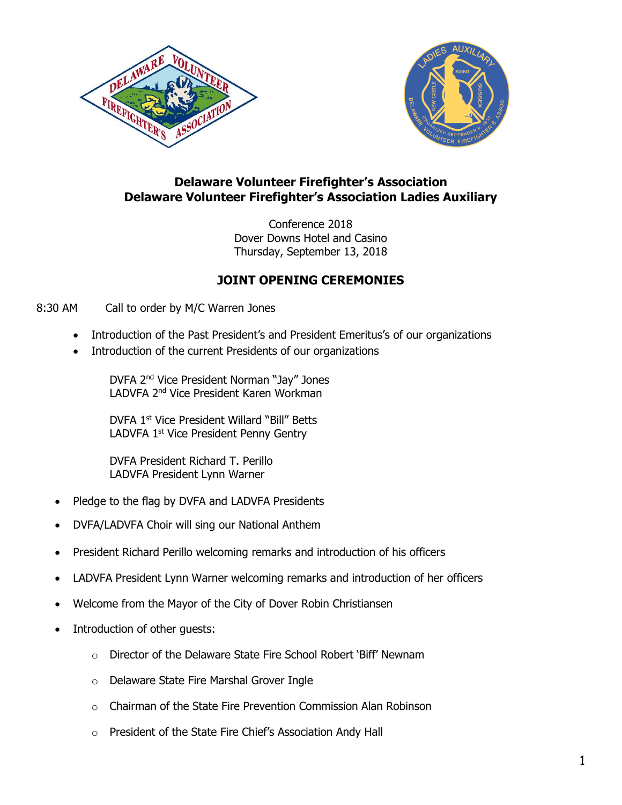



## **Delaware Volunteer Firefighter's Association Delaware Volunteer Firefighter's Association Ladies Auxiliary**

Conference 2018 Dover Downs Hotel and Casino Thursday, September 13, 2018

# **JOINT OPENING CEREMONIES**

#### 8:30 AM Call to order by M/C Warren Jones

- Introduction of the Past President's and President Emeritus's of our organizations
- Introduction of the current Presidents of our organizations

DVFA 2nd Vice President Norman "Jay" Jones LADVFA 2nd Vice President Karen Workman

DVFA 1<sup>st</sup> Vice President Willard "Bill" Betts LADVFA 1<sup>st</sup> Vice President Penny Gentry

DVFA President Richard T. Perillo LADVFA President Lynn Warner

- Pledge to the flag by DVFA and LADVFA Presidents
- DVFA/LADVFA Choir will sing our National Anthem
- President Richard Perillo welcoming remarks and introduction of his officers
- LADVFA President Lynn Warner welcoming remarks and introduction of her officers
- Welcome from the Mayor of the City of Dover Robin Christiansen
- Introduction of other guests:
	- o Director of the Delaware State Fire School Robert 'Biff' Newnam
	- o Delaware State Fire Marshal Grover Ingle
	- o Chairman of the State Fire Prevention Commission Alan Robinson
	- o President of the State Fire Chief's Association Andy Hall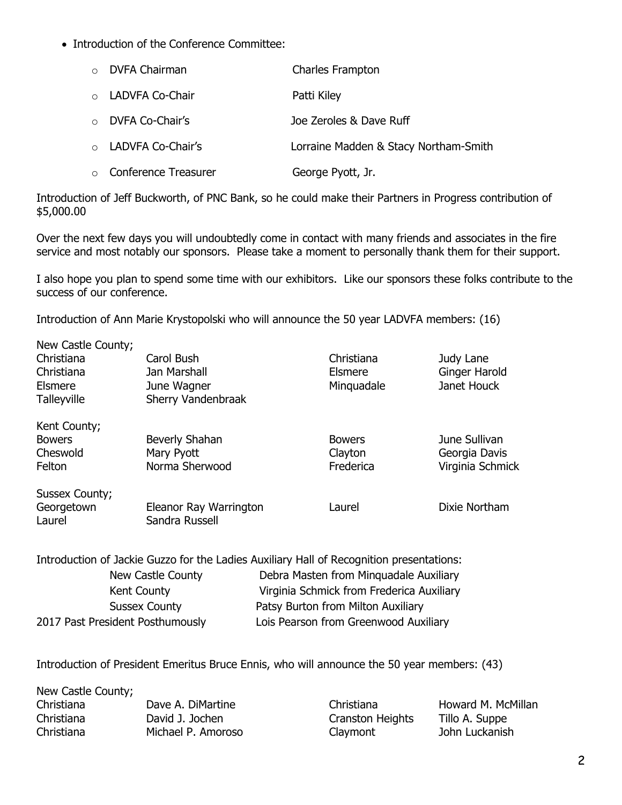• Introduction of the Conference Committee:

| $\circ$ DVFA Chairman        | Charles Frampton                      |
|------------------------------|---------------------------------------|
| ○ LADVFA Co-Chair            | Patti Kiley                           |
| o DVFA Co-Chair's            | Joe Zeroles & Dave Ruff               |
| o LADVFA Co-Chair's          | Lorraine Madden & Stacy Northam-Smith |
| $\circ$ Conference Treasurer | George Pyott, Jr.                     |

Introduction of Jeff Buckworth, of PNC Bank, so he could make their Partners in Progress contribution of \$5,000.00

Over the next few days you will undoubtedly come in contact with many friends and associates in the fire service and most notably our sponsors. Please take a moment to personally thank them for their support.

I also hope you plan to spend some time with our exhibitors. Like our sponsors these folks contribute to the success of our conference.

Introduction of Ann Marie Krystopolski who will announce the 50 year LADVFA members: (16)

| New Castle County;<br>Christiana<br>Christiana<br>Elsmere<br>Talleyville | Carol Bush<br>Jan Marshall<br>June Wagner<br>Sherry Vandenbraak | Christiana<br><b>Elsmere</b><br>Minguadale | Judy Lane<br>Ginger Harold<br>Janet Houck          |
|--------------------------------------------------------------------------|-----------------------------------------------------------------|--------------------------------------------|----------------------------------------------------|
| Kent County;<br><b>Bowers</b><br>Cheswold<br>Felton                      | Beverly Shahan<br>Mary Pyott<br>Norma Sherwood                  | <b>Bowers</b><br>Clayton<br>Frederica      | June Sullivan<br>Georgia Davis<br>Virginia Schmick |
| Sussex County;<br>Georgetown<br>Laurel                                   | Eleanor Ray Warrington<br>Sandra Russell                        | Laurel                                     | Dixie Northam                                      |

Introduction of Jackie Guzzo for the Ladies Auxiliary Hall of Recognition presentations:

| New Castle County                | Debra Masten from Minquadale Auxiliary    |
|----------------------------------|-------------------------------------------|
| Kent County                      | Virginia Schmick from Frederica Auxiliary |
| <b>Sussex County</b>             | Patsy Burton from Milton Auxiliary        |
| 2017 Past President Posthumously | Lois Pearson from Greenwood Auxiliary     |

Introduction of President Emeritus Bruce Ennis, who will announce the 50 year members: (43)

New Castle County; Christiana Dave A. DiMartine Christiana Howard M. McMillan Christiana David J. Jochen Cranston Heights Tillo A. Suppe Christiana Michael P. Amoroso Claymont John Luckanish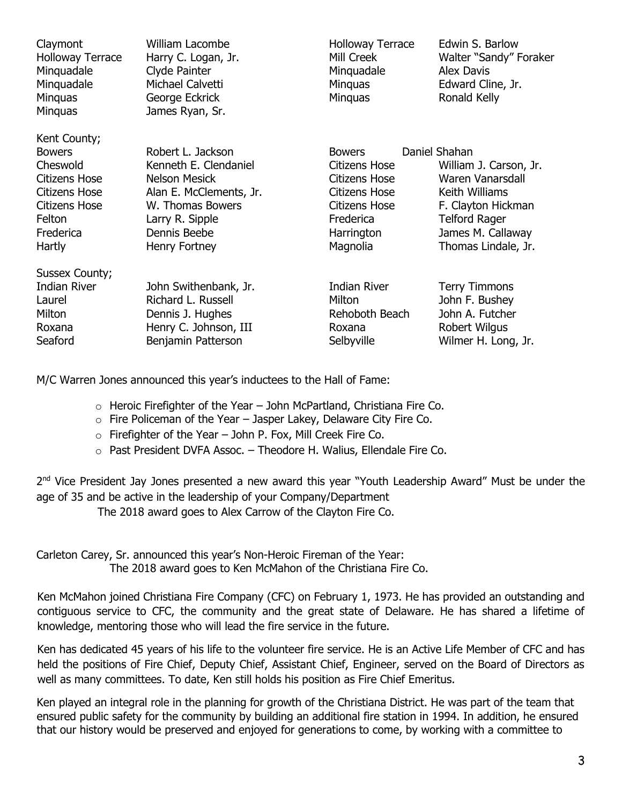| Claymont<br><b>Holloway Terrace</b><br>Minguadale<br>Minquadale<br><b>Minguas</b><br>Minquas | <b>William Lacombe</b><br>Harry C. Logan, Jr.<br>Clyde Painter<br>Michael Calvetti<br>George Eckrick<br>James Ryan, Sr. | <b>Holloway Terrace</b><br>Mill Creek<br>Minquadale<br>Minguas<br><b>Minguas</b> | Edwin S. Barlow<br>Walter "Sandy" Foraker<br><b>Alex Davis</b><br>Edward Cline, Jr.<br>Ronald Kelly |
|----------------------------------------------------------------------------------------------|-------------------------------------------------------------------------------------------------------------------------|----------------------------------------------------------------------------------|-----------------------------------------------------------------------------------------------------|
| Kent County;                                                                                 |                                                                                                                         |                                                                                  |                                                                                                     |
| <b>Bowers</b>                                                                                | Robert L. Jackson                                                                                                       | <b>Bowers</b>                                                                    | Daniel Shahan                                                                                       |
| Cheswold                                                                                     | Kenneth E. Clendaniel                                                                                                   | <b>Citizens Hose</b>                                                             | William J. Carson, Jr.                                                                              |
| <b>Citizens Hose</b>                                                                         | <b>Nelson Mesick</b>                                                                                                    | <b>Citizens Hose</b>                                                             | Waren Vanarsdall                                                                                    |
| Citizens Hose                                                                                | Alan E. McClements, Jr.                                                                                                 | Citizens Hose                                                                    | Keith Williams                                                                                      |
| <b>Citizens Hose</b>                                                                         | W. Thomas Bowers                                                                                                        | <b>Citizens Hose</b>                                                             | F. Clayton Hickman                                                                                  |
| Felton                                                                                       | Larry R. Sipple                                                                                                         | Frederica                                                                        | <b>Telford Rager</b>                                                                                |
| Frederica                                                                                    | Dennis Beebe                                                                                                            | Harrington                                                                       | James M. Callaway                                                                                   |
| Hartly                                                                                       | Henry Fortney                                                                                                           | Magnolia                                                                         | Thomas Lindale, Jr.                                                                                 |
| Sussex County;                                                                               |                                                                                                                         |                                                                                  |                                                                                                     |
| <b>Indian River</b>                                                                          | John Swithenbank, Jr.                                                                                                   | <b>Indian River</b>                                                              | <b>Terry Timmons</b>                                                                                |
| Laurel                                                                                       | Richard L. Russell                                                                                                      | Milton                                                                           | John F. Bushey                                                                                      |
| Milton                                                                                       | Dennis J. Hughes                                                                                                        | Rehoboth Beach                                                                   | John A. Futcher                                                                                     |
| Roxana                                                                                       | Henry C. Johnson, III                                                                                                   | Roxana                                                                           | Robert Wilgus                                                                                       |
| Seaford                                                                                      | Benjamin Patterson                                                                                                      | Selbyville                                                                       | Wilmer H. Long, Jr.                                                                                 |
|                                                                                              |                                                                                                                         |                                                                                  |                                                                                                     |

M/C Warren Jones announced this year's inductees to the Hall of Fame:

- $\circ$  Heroic Firefighter of the Year John McPartland, Christiana Fire Co.
- $\circ$  Fire Policeman of the Year Jasper Lakey, Delaware City Fire Co.
- $\circ$  Firefighter of the Year John P. Fox, Mill Creek Fire Co.
- o Past President DVFA Assoc. Theodore H. Walius, Ellendale Fire Co.

2<sup>nd</sup> Vice President Jay Jones presented a new award this year "Youth Leadership Award" Must be under the age of 35 and be active in the leadership of your Company/Department

The 2018 award goes to Alex Carrow of the Clayton Fire Co.

Carleton Carey, Sr. announced this year's Non-Heroic Fireman of the Year: The 2018 award goes to Ken McMahon of the Christiana Fire Co.

Ken McMahon joined Christiana Fire Company (CFC) on February 1, 1973. He has provided an outstanding and contiguous service to CFC, the community and the great state of Delaware. He has shared a lifetime of knowledge, mentoring those who will lead the fire service in the future.

Ken has dedicated 45 years of his life to the volunteer fire service. He is an Active Life Member of CFC and has held the positions of Fire Chief, Deputy Chief, Assistant Chief, Engineer, served on the Board of Directors as well as many committees. To date, Ken still holds his position as Fire Chief Emeritus.

Ken played an integral role in the planning for growth of the Christiana District. He was part of the team that ensured public safety for the community by building an additional fire station in 1994. In addition, he ensured that our history would be preserved and enjoyed for generations to come, by working with a committee to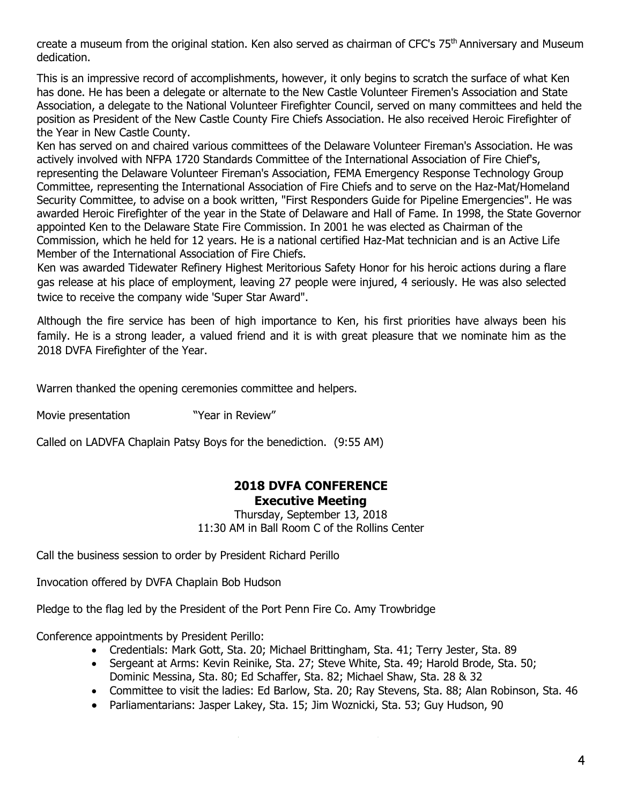create a museum from the original station. Ken also served as chairman of CFC's 75<sup>th</sup> Anniversary and Museum dedication.

This is an impressive record of accomplishments, however, it only begins to scratch the surface of what Ken has done. He has been a delegate or alternate to the New Castle Volunteer Firemen's Association and State Association, a delegate to the National Volunteer Firefighter Council, served on many committees and held the position as President of the New Castle County Fire Chiefs Association. He also received Heroic Firefighter of the Year in New Castle County.

Ken has served on and chaired various committees of the Delaware Volunteer Fireman's Association. He was actively involved with NFPA 1720 Standards Committee of the International Association of Fire Chief's, representing the Delaware Volunteer Fireman's Association, FEMA Emergency Response Technology Group Committee, representing the International Association of Fire Chiefs and to serve on the Haz-Mat/Homeland Security Committee, to advise on a book written, "First Responders Guide for Pipeline Emergencies". He was awarded Heroic Firefighter of the year in the State of Delaware and Hall of Fame. In 1998, the State Governor appointed Ken to the Delaware State Fire Commission. In 2001 he was elected as Chairman of the Commission, which he held for 12 years. He is a national certified Haz-Mat technician and is an Active Life Member of the International Association of Fire Chiefs.

Ken was awarded Tidewater Refinery Highest Meritorious Safety Honor for his heroic actions during a flare gas release at his place of employment, leaving 27 people were injured, 4 seriously. He was also selected twice to receive the company wide 'Super Star Award".

Although the fire service has been of high importance to Ken, his first priorities have always been his family. He is a strong leader, a valued friend and it is with great pleasure that we nominate him as the 2018 DVFA Firefighter of the Year.

Warren thanked the opening ceremonies committee and helpers.

Movie presentation **"Year in Review"** 

Called on LADVFA Chaplain Patsy Boys for the benediction. (9:55 AM)

### **2018 DVFA CONFERENCE Executive Meeting**

Thursday, September 13, 2018 11:30 AM in Ball Room C of the Rollins Center

Call the business session to order by President Richard Perillo

Invocation offered by DVFA Chaplain Bob Hudson

Pledge to the flag led by the President of the Port Penn Fire Co. Amy Trowbridge

Conference appointments by President Perillo:

- Credentials: Mark Gott, Sta. 20; Michael Brittingham, Sta. 41; Terry Jester, Sta. 89
- Sergeant at Arms: Kevin Reinike, Sta. 27; Steve White, Sta. 49; Harold Brode, Sta. 50; Dominic Messina, Sta. 80; Ed Schaffer, Sta. 82; Michael Shaw, Sta. 28 & 32
- Committee to visit the ladies: Ed Barlow, Sta. 20; Ray Stevens, Sta. 88; Alan Robinson, Sta. 46
- Parliamentarians: Jasper Lakey, Sta. 15; Jim Woznicki, Sta. 53; Guy Hudson, 90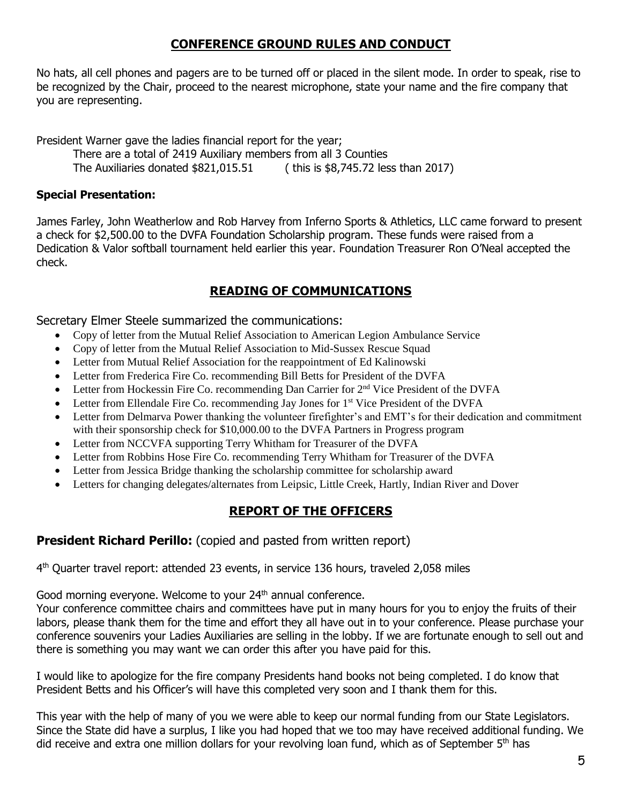# **CONFERENCE GROUND RULES AND CONDUCT**

No hats, all cell phones and pagers are to be turned off or placed in the silent mode. In order to speak, rise to be recognized by the Chair, proceed to the nearest microphone, state your name and the fire company that you are representing.

President Warner gave the ladies financial report for the year; There are a total of 2419 Auxiliary members from all 3 Counties The Auxiliaries donated \$821,015.51 ( this is \$8,745.72 less than 2017)

## **Special Presentation:**

James Farley, John Weatherlow and Rob Harvey from Inferno Sports & Athletics, LLC came forward to present a check for \$2,500.00 to the DVFA Foundation Scholarship program. These funds were raised from a Dedication & Valor softball tournament held earlier this year. Foundation Treasurer Ron O'Neal accepted the check.

# **READING OF COMMUNICATIONS**

Secretary Elmer Steele summarized the communications:

- Copy of letter from the Mutual Relief Association to American Legion Ambulance Service
- Copy of letter from the Mutual Relief Association to Mid-Sussex Rescue Squad
- Letter from Mutual Relief Association for the reappointment of Ed Kalinowski
- Letter from Frederica Fire Co. recommending Bill Betts for President of the DVFA
- Letter from Hockessin Fire Co. recommending Dan Carrier for  $2<sup>nd</sup>$  Vice President of the DVFA
- Letter from Ellendale Fire Co. recommending Jay Jones for 1<sup>st</sup> Vice President of the DVFA
- Letter from Delmarva Power thanking the volunteer firefighter's and EMT's for their dedication and commitment with their sponsorship check for \$10,000.00 to the DVFA Partners in Progress program
- Letter from NCCVFA supporting Terry Whitham for Treasurer of the DVFA
- Letter from Robbins Hose Fire Co. recommending Terry Whitham for Treasurer of the DVFA
- Letter from Jessica Bridge thanking the scholarship committee for scholarship award
- Letters for changing delegates/alternates from Leipsic, Little Creek, Hartly, Indian River and Dover

# **REPORT OF THE OFFICERS**

## **President Richard Perillo:** (copied and pasted from written report)

4 th Quarter travel report: attended 23 events, in service 136 hours, traveled 2,058 miles

Good morning everyone. Welcome to your 24<sup>th</sup> annual conference.

Your conference committee chairs and committees have put in many hours for you to enjoy the fruits of their labors, please thank them for the time and effort they all have out in to your conference. Please purchase your conference souvenirs your Ladies Auxiliaries are selling in the lobby. If we are fortunate enough to sell out and there is something you may want we can order this after you have paid for this.

I would like to apologize for the fire company Presidents hand books not being completed. I do know that President Betts and his Officer's will have this completed very soon and I thank them for this.

This year with the help of many of you we were able to keep our normal funding from our State Legislators. Since the State did have a surplus, I like you had hoped that we too may have received additional funding. We did receive and extra one million dollars for your revolving loan fund, which as of September 5<sup>th</sup> has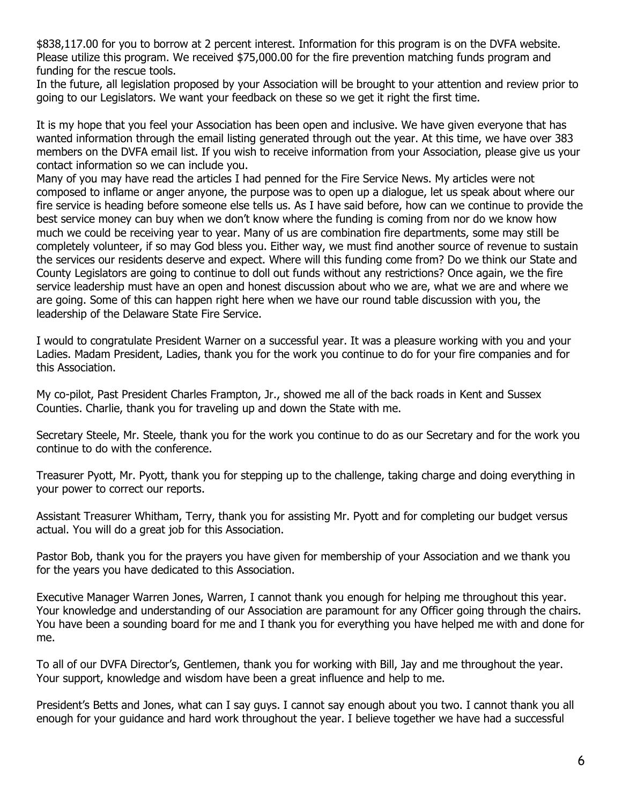\$838,117.00 for you to borrow at 2 percent interest. Information for this program is on the DVFA website. Please utilize this program. We received \$75,000.00 for the fire prevention matching funds program and funding for the rescue tools.

In the future, all legislation proposed by your Association will be brought to your attention and review prior to going to our Legislators. We want your feedback on these so we get it right the first time.

It is my hope that you feel your Association has been open and inclusive. We have given everyone that has wanted information through the email listing generated through out the year. At this time, we have over 383 members on the DVFA email list. If you wish to receive information from your Association, please give us your contact information so we can include you.

Many of you may have read the articles I had penned for the Fire Service News. My articles were not composed to inflame or anger anyone, the purpose was to open up a dialogue, let us speak about where our fire service is heading before someone else tells us. As I have said before, how can we continue to provide the best service money can buy when we don't know where the funding is coming from nor do we know how much we could be receiving year to year. Many of us are combination fire departments, some may still be completely volunteer, if so may God bless you. Either way, we must find another source of revenue to sustain the services our residents deserve and expect. Where will this funding come from? Do we think our State and County Legislators are going to continue to doll out funds without any restrictions? Once again, we the fire service leadership must have an open and honest discussion about who we are, what we are and where we are going. Some of this can happen right here when we have our round table discussion with you, the leadership of the Delaware State Fire Service.

I would to congratulate President Warner on a successful year. It was a pleasure working with you and your Ladies. Madam President, Ladies, thank you for the work you continue to do for your fire companies and for this Association.

My co-pilot, Past President Charles Frampton, Jr., showed me all of the back roads in Kent and Sussex Counties. Charlie, thank you for traveling up and down the State with me.

Secretary Steele, Mr. Steele, thank you for the work you continue to do as our Secretary and for the work you continue to do with the conference.

Treasurer Pyott, Mr. Pyott, thank you for stepping up to the challenge, taking charge and doing everything in your power to correct our reports.

Assistant Treasurer Whitham, Terry, thank you for assisting Mr. Pyott and for completing our budget versus actual. You will do a great job for this Association.

Pastor Bob, thank you for the prayers you have given for membership of your Association and we thank you for the years you have dedicated to this Association.

Executive Manager Warren Jones, Warren, I cannot thank you enough for helping me throughout this year. Your knowledge and understanding of our Association are paramount for any Officer going through the chairs. You have been a sounding board for me and I thank you for everything you have helped me with and done for me.

To all of our DVFA Director's, Gentlemen, thank you for working with Bill, Jay and me throughout the year. Your support, knowledge and wisdom have been a great influence and help to me.

President's Betts and Jones, what can I say guys. I cannot say enough about you two. I cannot thank you all enough for your guidance and hard work throughout the year. I believe together we have had a successful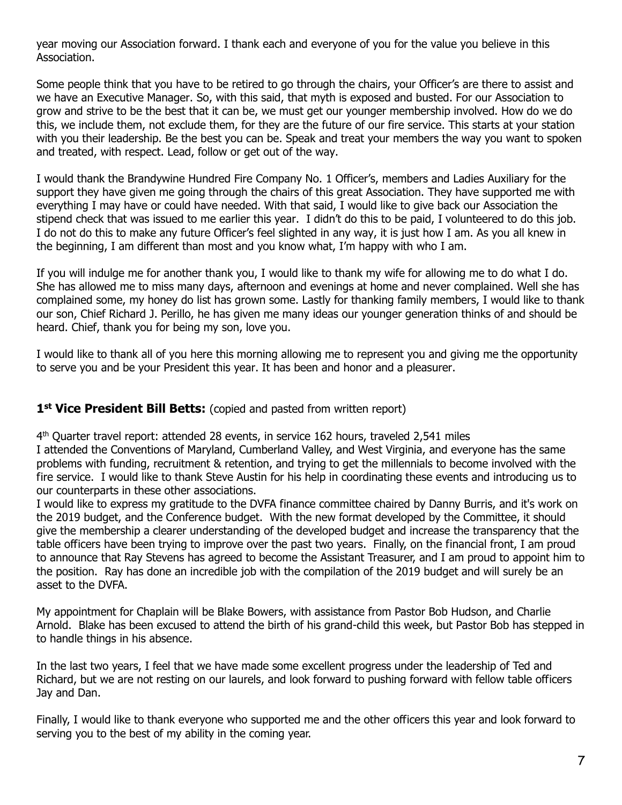year moving our Association forward. I thank each and everyone of you for the value you believe in this Association.

Some people think that you have to be retired to go through the chairs, your Officer's are there to assist and we have an Executive Manager. So, with this said, that myth is exposed and busted. For our Association to grow and strive to be the best that it can be, we must get our younger membership involved. How do we do this, we include them, not exclude them, for they are the future of our fire service. This starts at your station with you their leadership. Be the best you can be. Speak and treat your members the way you want to spoken and treated, with respect. Lead, follow or get out of the way.

I would thank the Brandywine Hundred Fire Company No. 1 Officer's, members and Ladies Auxiliary for the support they have given me going through the chairs of this great Association. They have supported me with everything I may have or could have needed. With that said, I would like to give back our Association the stipend check that was issued to me earlier this year. I didn't do this to be paid, I volunteered to do this job. I do not do this to make any future Officer's feel slighted in any way, it is just how I am. As you all knew in the beginning, I am different than most and you know what, I'm happy with who I am.

If you will indulge me for another thank you, I would like to thank my wife for allowing me to do what I do. She has allowed me to miss many days, afternoon and evenings at home and never complained. Well she has complained some, my honey do list has grown some. Lastly for thanking family members, I would like to thank our son, Chief Richard J. Perillo, he has given me many ideas our younger generation thinks of and should be heard. Chief, thank you for being my son, love you.

I would like to thank all of you here this morning allowing me to represent you and giving me the opportunity to serve you and be your President this year. It has been and honor and a pleasurer.

## 1<sup>st</sup> Vice President Bill Betts: (copied and pasted from written report)

4 th Quarter travel report: attended 28 events, in service 162 hours, traveled 2,541 miles I attended the Conventions of Maryland, Cumberland Valley, and West Virginia, and everyone has the same problems with funding, recruitment & retention, and trying to get the millennials to become involved with the fire service. I would like to thank Steve Austin for his help in coordinating these events and introducing us to our counterparts in these other associations.

I would like to express my gratitude to the DVFA finance committee chaired by Danny Burris, and it's work on the 2019 budget, and the Conference budget. With the new format developed by the Committee, it should give the membership a clearer understanding of the developed budget and increase the transparency that the table officers have been trying to improve over the past two years. Finally, on the financial front, I am proud to announce that Ray Stevens has agreed to become the Assistant Treasurer, and I am proud to appoint him to the position. Ray has done an incredible job with the compilation of the 2019 budget and will surely be an asset to the DVFA.

My appointment for Chaplain will be Blake Bowers, with assistance from Pastor Bob Hudson, and Charlie Arnold. Blake has been excused to attend the birth of his grand-child this week, but Pastor Bob has stepped in to handle things in his absence.

In the last two years, I feel that we have made some excellent progress under the leadership of Ted and Richard, but we are not resting on our laurels, and look forward to pushing forward with fellow table officers Jay and Dan.

Finally, I would like to thank everyone who supported me and the other officers this year and look forward to serving you to the best of my ability in the coming year.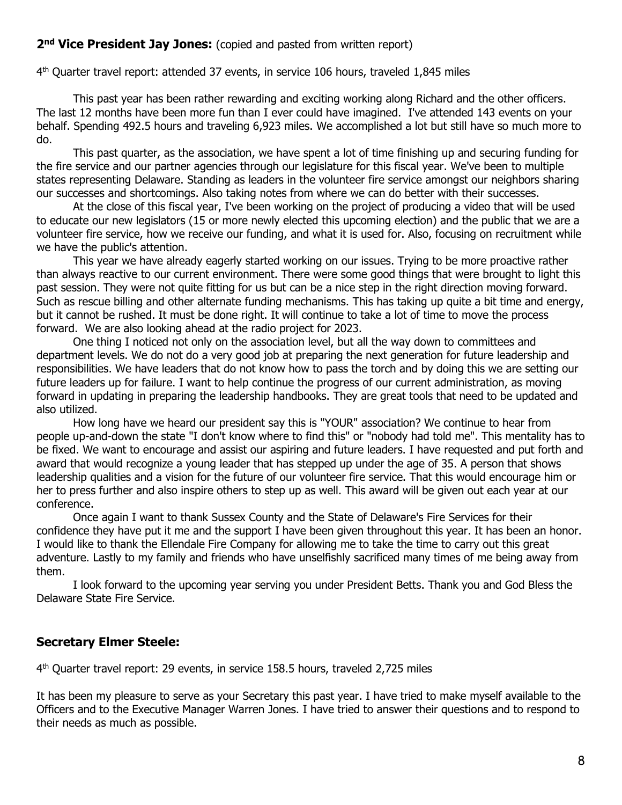## 2<sup>nd</sup> Vice President Jay Jones: (copied and pasted from written report)

4 th Quarter travel report: attended 37 events, in service 106 hours, traveled 1,845 miles

This past year has been rather rewarding and exciting working along Richard and the other officers. The last 12 months have been more fun than I ever could have imagined. I've attended 143 events on your behalf. Spending 492.5 hours and traveling 6,923 miles. We accomplished a lot but still have so much more to do.

This past quarter, as the association, we have spent a lot of time finishing up and securing funding for the fire service and our partner agencies through our legislature for this fiscal year. We've been to multiple states representing Delaware. Standing as leaders in the volunteer fire service amongst our neighbors sharing our successes and shortcomings. Also taking notes from where we can do better with their successes.

At the close of this fiscal year, I've been working on the project of producing a video that will be used to educate our new legislators (15 or more newly elected this upcoming election) and the public that we are a volunteer fire service, how we receive our funding, and what it is used for. Also, focusing on recruitment while we have the public's attention.

This year we have already eagerly started working on our issues. Trying to be more proactive rather than always reactive to our current environment. There were some good things that were brought to light this past session. They were not quite fitting for us but can be a nice step in the right direction moving forward. Such as rescue billing and other alternate funding mechanisms. This has taking up quite a bit time and energy, but it cannot be rushed. It must be done right. It will continue to take a lot of time to move the process forward. We are also looking ahead at the radio project for 2023.

One thing I noticed not only on the association level, but all the way down to committees and department levels. We do not do a very good job at preparing the next generation for future leadership and responsibilities. We have leaders that do not know how to pass the torch and by doing this we are setting our future leaders up for failure. I want to help continue the progress of our current administration, as moving forward in updating in preparing the leadership handbooks. They are great tools that need to be updated and also utilized.

How long have we heard our president say this is "YOUR" association? We continue to hear from people up-and-down the state "I don't know where to find this" or "nobody had told me". This mentality has to be fixed. We want to encourage and assist our aspiring and future leaders. I have requested and put forth and award that would recognize a young leader that has stepped up under the age of 35. A person that shows leadership qualities and a vision for the future of our volunteer fire service. That this would encourage him or her to press further and also inspire others to step up as well. This award will be given out each year at our conference.

Once again I want to thank Sussex County and the State of Delaware's Fire Services for their confidence they have put it me and the support I have been given throughout this year. It has been an honor. I would like to thank the Ellendale Fire Company for allowing me to take the time to carry out this great adventure. Lastly to my family and friends who have unselfishly sacrificed many times of me being away from them.

I look forward to the upcoming year serving you under President Betts. Thank you and God Bless the Delaware State Fire Service.

### **Secretary Elmer Steele:**

4 th Quarter travel report: 29 events, in service 158.5 hours, traveled 2,725 miles

It has been my pleasure to serve as your Secretary this past year. I have tried to make myself available to the Officers and to the Executive Manager Warren Jones. I have tried to answer their questions and to respond to their needs as much as possible.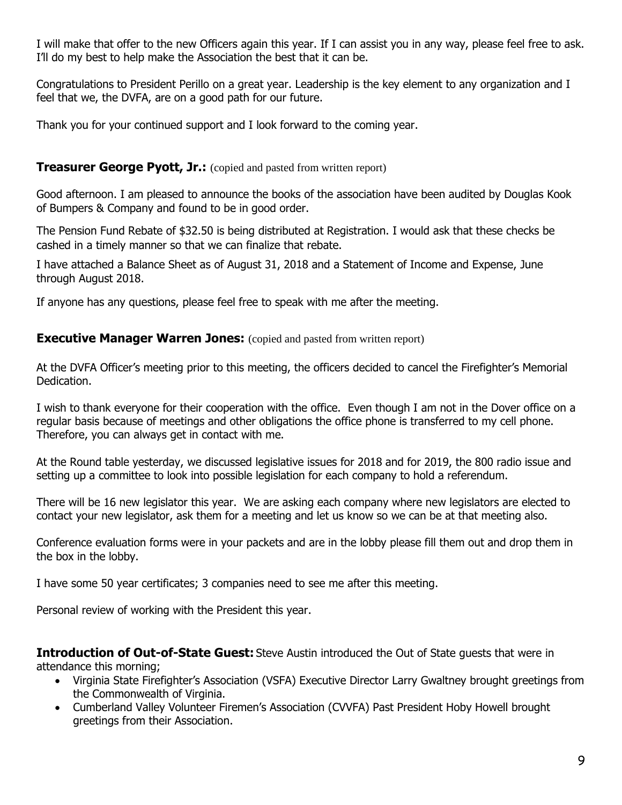I will make that offer to the new Officers again this year. If I can assist you in any way, please feel free to ask. I'll do my best to help make the Association the best that it can be.

Congratulations to President Perillo on a great year. Leadership is the key element to any organization and I feel that we, the DVFA, are on a good path for our future.

Thank you for your continued support and I look forward to the coming year.

## **Treasurer George Pyott, Jr.:** (copied and pasted from written report)

Good afternoon. I am pleased to announce the books of the association have been audited by Douglas Kook of Bumpers & Company and found to be in good order.

The Pension Fund Rebate of \$32.50 is being distributed at Registration. I would ask that these checks be cashed in a timely manner so that we can finalize that rebate.

I have attached a Balance Sheet as of August 31, 2018 and a Statement of Income and Expense, June through August 2018.

If anyone has any questions, please feel free to speak with me after the meeting.

## **Executive Manager Warren Jones:** (copied and pasted from written report)

At the DVFA Officer's meeting prior to this meeting, the officers decided to cancel the Firefighter's Memorial Dedication.

I wish to thank everyone for their cooperation with the office. Even though I am not in the Dover office on a regular basis because of meetings and other obligations the office phone is transferred to my cell phone. Therefore, you can always get in contact with me.

At the Round table yesterday, we discussed legislative issues for 2018 and for 2019, the 800 radio issue and setting up a committee to look into possible legislation for each company to hold a referendum.

There will be 16 new legislator this year. We are asking each company where new legislators are elected to contact your new legislator, ask them for a meeting and let us know so we can be at that meeting also.

Conference evaluation forms were in your packets and are in the lobby please fill them out and drop them in the box in the lobby.

I have some 50 year certificates; 3 companies need to see me after this meeting.

Personal review of working with the President this year.

**Introduction of Out-of-State Guest:** Steve Austin introduced the Out of State guests that were in attendance this morning;

- Virginia State Firefighter's Association (VSFA) Executive Director Larry Gwaltney brought greetings from the Commonwealth of Virginia.
- Cumberland Valley Volunteer Firemen's Association (CVVFA) Past President Hoby Howell brought greetings from their Association.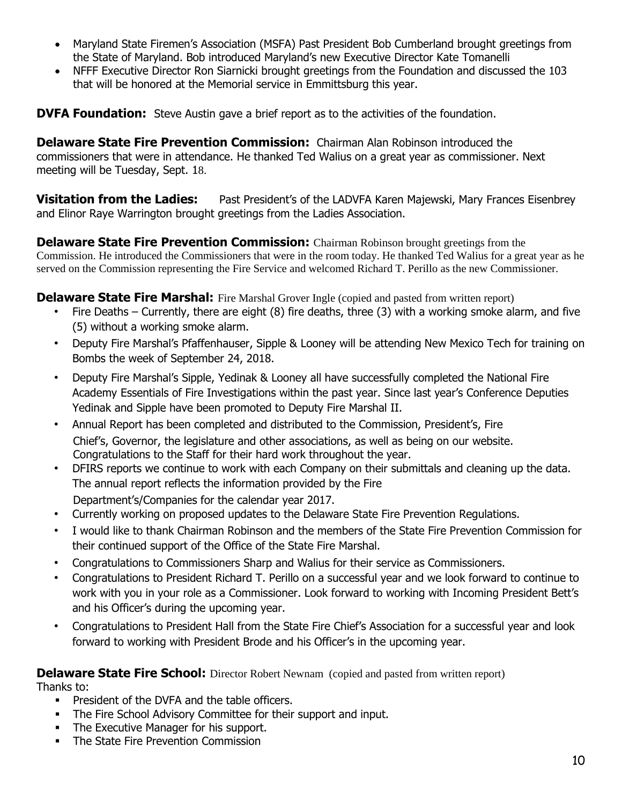- Maryland State Firemen's Association (MSFA) Past President Bob Cumberland brought greetings from the State of Maryland. Bob introduced Maryland's new Executive Director Kate Tomanelli
- NFFF Executive Director Ron Siarnicki brought greetings from the Foundation and discussed the 103 that will be honored at the Memorial service in Emmittsburg this year.

**DVFA Foundation:** Steve Austin gave a brief report as to the activities of the foundation.

**Delaware State Fire Prevention Commission:** Chairman Alan Robinson introduced the commissioners that were in attendance. He thanked Ted Walius on a great year as commissioner. Next meeting will be Tuesday, Sept. 18.

**Visitation from the Ladies:** Past President's of the LADVFA Karen Majewski, Mary Frances Eisenbrey and Elinor Raye Warrington brought greetings from the Ladies Association.

**Delaware State Fire Prevention Commission:** Chairman Robinson brought greetings from the Commission. He introduced the Commissioners that were in the room today. He thanked Ted Walius for a great year as he served on the Commission representing the Fire Service and welcomed Richard T. Perillo as the new Commissioner.

**Delaware State Fire Marshal:** Fire Marshal Grover Ingle (copied and pasted from written report)

- Fire Deaths Currently, there are eight (8) fire deaths, three (3) with a working smoke alarm, and five (5) without a working smoke alarm.
- Deputy Fire Marshal's Pfaffenhauser, Sipple & Looney will be attending New Mexico Tech for training on Bombs the week of September 24, 2018.
- Deputy Fire Marshal's Sipple, Yedinak & Looney all have successfully completed the National Fire Academy Essentials of Fire Investigations within the past year. Since last year's Conference Deputies Yedinak and Sipple have been promoted to Deputy Fire Marshal II.
- Annual Report has been completed and distributed to the Commission, President's, Fire Chief's, Governor, the legislature and other associations, as well as being on our website. Congratulations to the Staff for their hard work throughout the year.
- DFIRS reports we continue to work with each Company on their submittals and cleaning up the data. The annual report reflects the information provided by the Fire Department's/Companies for the calendar year 2017.
- Currently working on proposed updates to the Delaware State Fire Prevention Regulations.
- I would like to thank Chairman Robinson and the members of the State Fire Prevention Commission for their continued support of the Office of the State Fire Marshal.
- Congratulations to Commissioners Sharp and Walius for their service as Commissioners.
- Congratulations to President Richard T. Perillo on a successful year and we look forward to continue to work with you in your role as a Commissioner. Look forward to working with Incoming President Bett's and his Officer's during the upcoming year.
- Congratulations to President Hall from the State Fire Chief's Association for a successful year and look forward to working with President Brode and his Officer's in the upcoming year.

**Delaware State Fire School:** Director Robert Newnam (copied and pasted from written report)

Thanks to:

- **President of the DVFA and the table officers.**
- The Fire School Advisory Committee for their support and input.
- The Executive Manager for his support.
- The State Fire Prevention Commission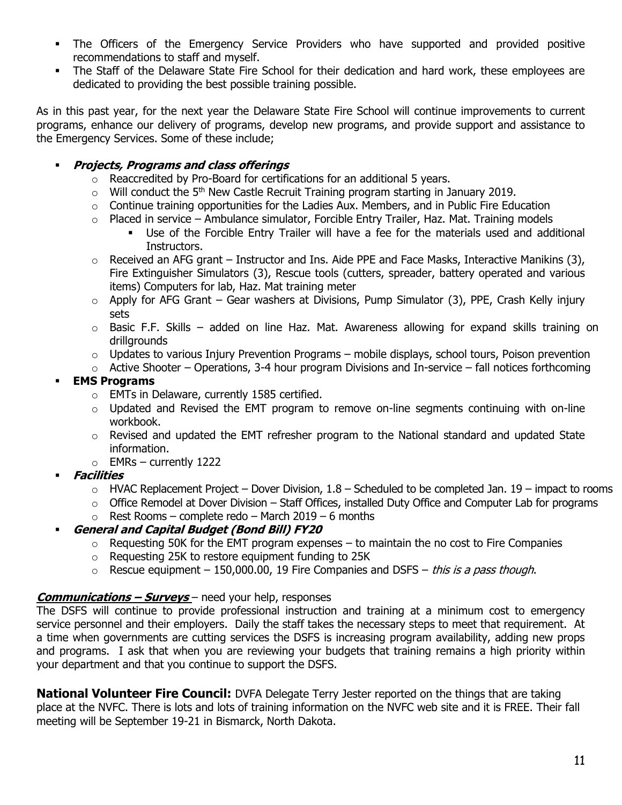- The Officers of the Emergency Service Providers who have supported and provided positive recommendations to staff and myself.
- **•** The Staff of the Delaware State Fire School for their dedication and hard work, these employees are dedicated to providing the best possible training possible.

As in this past year, for the next year the Delaware State Fire School will continue improvements to current programs, enhance our delivery of programs, develop new programs, and provide support and assistance to the Emergency Services. Some of these include;

## ▪ **Projects, Programs and class offerings**

- o Reaccredited by Pro-Board for certifications for an additional 5 years.
- $\circ$  Will conduct the 5<sup>th</sup> New Castle Recruit Training program starting in January 2019.
- $\circ$  Continue training opportunities for the Ladies Aux. Members, and in Public Fire Education
- $\circ$  Placed in service Ambulance simulator, Forcible Entry Trailer, Haz. Mat. Training models
	- Use of the Forcible Entry Trailer will have a fee for the materials used and additional Instructors.
- $\circ$  Received an AFG grant Instructor and Ins. Aide PPE and Face Masks, Interactive Manikins (3), Fire Extinguisher Simulators (3), Rescue tools (cutters, spreader, battery operated and various items) Computers for lab, Haz. Mat training meter
- $\circ$  Apply for AFG Grant Gear washers at Divisions, Pump Simulator (3), PPE, Crash Kelly injury sets
- $\circ$  Basic F.F. Skills added on line Haz. Mat. Awareness allowing for expand skills training on drillgrounds
- $\circ$  Updates to various Injury Prevention Programs mobile displays, school tours, Poison prevention
- $\circ$  Active Shooter Operations, 3-4 hour program Divisions and In-service fall notices forthcoming

# **EMS Programs**

- o EMTs in Delaware, currently 1585 certified.
- o Updated and Revised the EMT program to remove on-line segments continuing with on-line workbook.
- $\circ$  Revised and updated the EMT refresher program to the National standard and updated State information.
- $\circ$  EMRs currently 1222
- **Facilities** 
	- $\circ$  HVAC Replacement Project Dover Division, 1.8 Scheduled to be completed Jan. 19 impact to rooms
	- $\circ$  Office Remodel at Dover Division Staff Offices, installed Duty Office and Computer Lab for programs
	- $\circ$  Rest Rooms complete redo March 2019 6 months

## ▪ **General and Capital Budget (Bond Bill) FY20**

- $\circ$  Requesting 50K for the EMT program expenses to maintain the no cost to Fire Companies
- o Requesting 25K to restore equipment funding to 25K
- $\circ$  Rescue equipment 150,000.00, 19 Fire Companies and DSFS this is a pass though.

## **Communications – Surveys** – need your help, responses

The DSFS will continue to provide professional instruction and training at a minimum cost to emergency service personnel and their employers. Daily the staff takes the necessary steps to meet that requirement. At a time when governments are cutting services the DSFS is increasing program availability, adding new props and programs. I ask that when you are reviewing your budgets that training remains a high priority within your department and that you continue to support the DSFS.

**National Volunteer Fire Council:** DVFA Delegate Terry Jester reported on the things that are taking place at the NVFC. There is lots and lots of training information on the NVFC web site and it is FREE. Their fall meeting will be September 19-21 in Bismarck, North Dakota.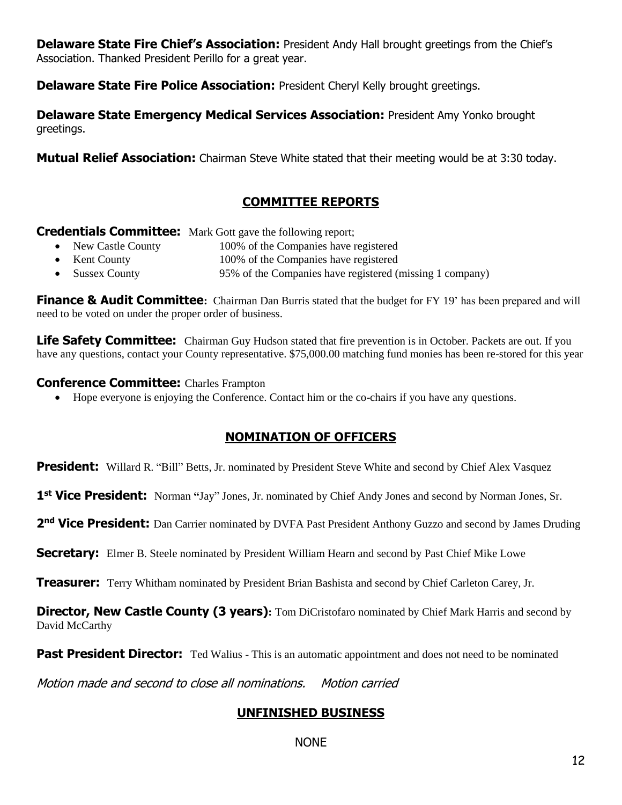**Delaware State Fire Chief's Association:** President Andy Hall brought greetings from the Chief's Association. Thanked President Perillo for a great year.

**Delaware State Fire Police Association:** President Cheryl Kelly brought greetings.

**Delaware State Emergency Medical Services Association:** President Amy Yonko brought greetings.

**Mutual Relief Association:** Chairman Steve White stated that their meeting would be at 3:30 today.

# **COMMITTEE REPORTS**

**Credentials Committee:** Mark Gott gave the following report;

- New Castle County 100% of the Companies have registered
- Kent County 100% of the Companies have registered
- Sussex County 95% of the Companies have registered (missing 1 company)

**Finance & Audit Committee:** Chairman Dan Burris stated that the budget for FY 19' has been prepared and will need to be voted on under the proper order of business.

**Life Safety Committee:** Chairman Guy Hudson stated that fire prevention is in October. Packets are out. If you have any questions, contact your County representative. \$75,000.00 matching fund monies has been re-stored for this year

#### **Conference Committee:** Charles Frampton

• Hope everyone is enjoying the Conference. Contact him or the co-chairs if you have any questions.

## **NOMINATION OF OFFICERS**

**President:** Willard R. "Bill" Betts, Jr. nominated by President Steve White and second by Chief Alex Vasquez

1<sup>st</sup> Vice President: Norman "Jay" Jones, Jr. nominated by Chief Andy Jones and second by Norman Jones, Sr.

2<sup>nd</sup> Vice President: Dan Carrier nominated by DVFA Past President Anthony Guzzo and second by James Druding

**Secretary:** Elmer B. Steele nominated by President William Hearn and second by Past Chief Mike Lowe

**Treasurer:** Terry Whitham nominated by President Brian Bashista and second by Chief Carleton Carey, Jr.

**Director, New Castle County (3 years):** Tom DiCristofaro nominated by Chief Mark Harris and second by David McCarthy

**Past President Director:** Ted Walius - This is an automatic appointment and does not need to be nominated

Motion made and second to close all nominations. Motion carried

# **UNFINISHED BUSINESS**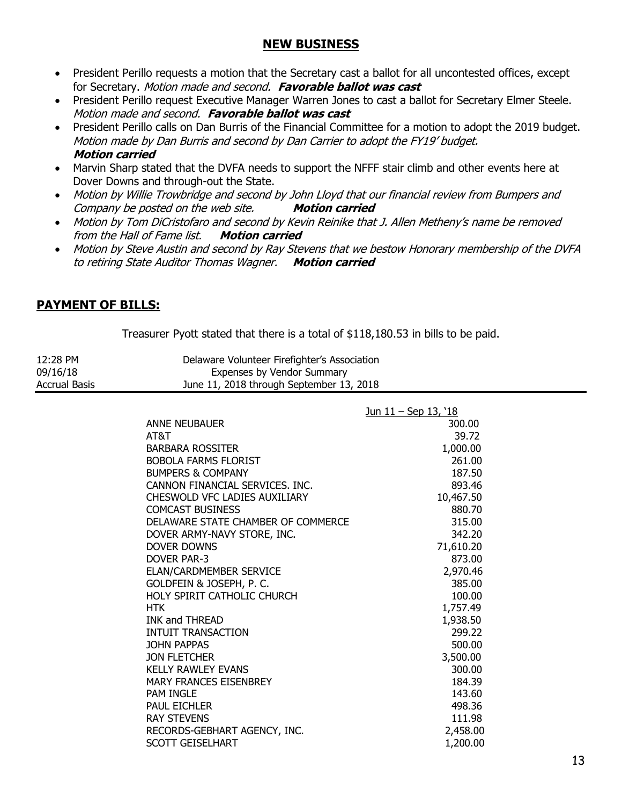## **NEW BUSINESS**

- President Perillo requests a motion that the Secretary cast a ballot for all uncontested offices, except for Secretary. Motion made and second. **Favorable ballot was cast**
- President Perillo request Executive Manager Warren Jones to cast a ballot for Secretary Elmer Steele. Motion made and second. **Favorable ballot was cast**
- President Perillo calls on Dan Burris of the Financial Committee for a motion to adopt the 2019 budget. Motion made by Dan Burris and second by Dan Carrier to adopt the FY19' budget. **Motion carried**
- Marvin Sharp stated that the DVFA needs to support the NFFF stair climb and other events here at Dover Downs and through-out the State.
- Motion by Willie Trowbridge and second by John Lloyd that our financial review from Bumpers and Company be posted on the web site. **Motion carried**
- Motion by Tom DiCristofaro and second by Kevin Reinike that J. Allen Metheny's name be removed from the Hall of Fame list. **Motion carried**
- Motion by Steve Austin and second by Ray Stevens that we bestow Honorary membership of the DVFA to retiring State Auditor Thomas Wagner. **Motion carried**

# **PAYMENT OF BILLS:**

Treasurer Pyott stated that there is a total of \$118,180.53 in bills to be paid.

| 12:28 PM      | Delaware Volunteer Firefighter's Association |
|---------------|----------------------------------------------|
| 09/16/18      | Expenses by Vendor Summary                   |
| Accrual Basis | June 11, 2018 through September 13, 2018     |

|                                      | <u>Jun 11 – Sep 13, '18</u> |
|--------------------------------------|-----------------------------|
| <b>ANNE NEUBAUER</b>                 | 300.00                      |
| AT&T                                 | 39.72                       |
| <b>BARBARA ROSSITER</b>              | 1,000.00                    |
| <b>BOBOLA FARMS FLORIST</b>          | 261.00                      |
| <b>BUMPERS &amp; COMPANY</b>         | 187.50                      |
| CANNON FINANCIAL SERVICES. INC.      | 893.46                      |
| <b>CHESWOLD VFC LADIES AUXILIARY</b> | 10,467.50                   |
| <b>COMCAST BUSINESS</b>              | 880.70                      |
| DELAWARE STATE CHAMBER OF COMMERCE   | 315.00                      |
| DOVER ARMY-NAVY STORE, INC.          | 342.20                      |
| DOVER DOWNS                          | 71,610.20                   |
| <b>DOVER PAR-3</b>                   | 873.00                      |
| <b>ELAN/CARDMEMBER SERVICE</b>       | 2,970.46                    |
| GOLDFEIN & JOSEPH, P. C.             | 385.00                      |
| HOLY SPIRIT CATHOLIC CHURCH          | 100.00                      |
| <b>HTK</b>                           | 1,757.49                    |
| <b>INK and THREAD</b>                | 1,938.50                    |
| <b>INTUIT TRANSACTION</b>            | 299.22                      |
| JOHN PAPPAS                          | 500.00                      |
| JON FLETCHER                         | 3,500.00                    |
| <b>KELLY RAWLEY EVANS</b>            | 300.00                      |
| <b>MARY FRANCES EISENBREY</b>        | 184.39                      |
| <b>PAM INGLE</b>                     | 143.60                      |
| <b>PAUL EICHLER</b>                  | 498.36                      |
| <b>RAY STEVENS</b>                   | 111.98                      |
| RECORDS-GEBHART AGENCY, INC.         | 2,458.00                    |
| <b>SCOTT GEISELHART</b>              | 1,200.00                    |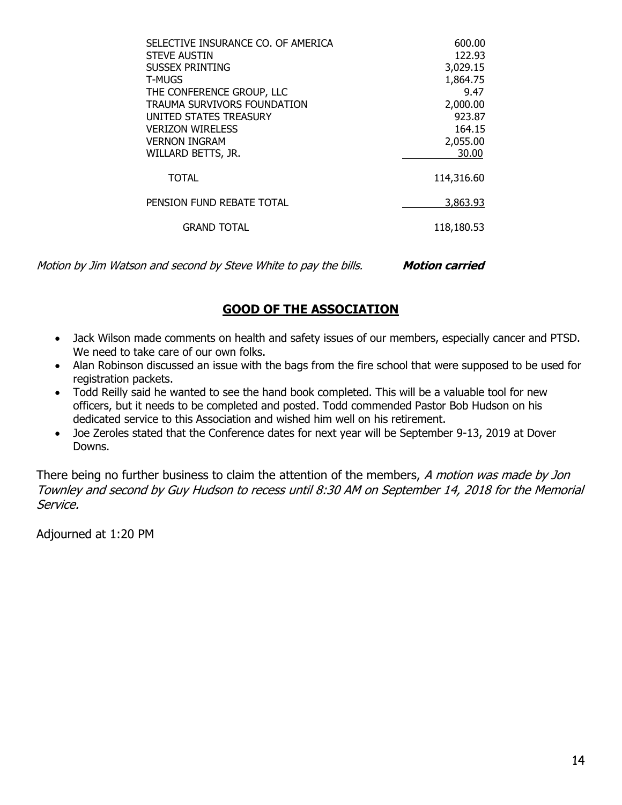| SELECTIVE INSURANCE CO. OF AMERICA | 600.00     |
|------------------------------------|------------|
|                                    |            |
| <b>STEVE AUSTIN</b>                | 122.93     |
| <b>SUSSEX PRINTING</b>             | 3,029.15   |
| <b>T-MUGS</b>                      | 1,864.75   |
| THE CONFERENCE GROUP, LLC          | 9.47       |
| TRAUMA SURVIVORS FOUNDATION        | 2,000.00   |
| UNITED STATES TREASURY             | 923.87     |
| <b>VERIZON WIRELESS</b>            | 164.15     |
| <b>VERNON INGRAM</b>               | 2,055.00   |
| WILLARD BETTS, JR.                 | 30.00      |
| <b>TOTAL</b>                       | 114,316.60 |
| PENSION FUND REBATE TOTAL          | 3,863.93   |
| <b>GRAND TOTAL</b>                 | 118,180.53 |
|                                    |            |

Motion by Jim Watson and second by Steve White to pay the bills. **Motion carried** 

# **GOOD OF THE ASSOCIATION**

- Jack Wilson made comments on health and safety issues of our members, especially cancer and PTSD. We need to take care of our own folks.
- Alan Robinson discussed an issue with the bags from the fire school that were supposed to be used for registration packets.
- Todd Reilly said he wanted to see the hand book completed. This will be a valuable tool for new officers, but it needs to be completed and posted. Todd commended Pastor Bob Hudson on his dedicated service to this Association and wished him well on his retirement.
- Joe Zeroles stated that the Conference dates for next year will be September 9-13, 2019 at Dover Downs.

There being no further business to claim the attention of the members, A motion was made by Jon Townley and second by Guy Hudson to recess until 8:30 AM on September 14, 2018 for the Memorial Service.

Adjourned at 1:20 PM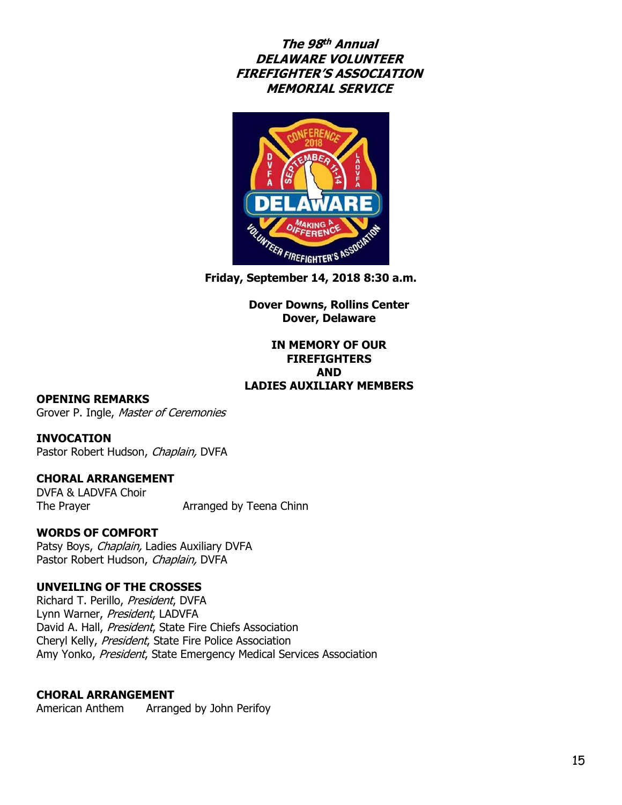**The 98 th Annual DELAWARE VOLUNTEER FIREFIGHTER'S ASSOCIATION MEMORIAL SERVICE**



**Friday, September 14, 2018 8:30 a.m.**

**Dover Downs, Rollins Center Dover, Delaware**

#### **IN MEMORY OF OUR FIREFIGHTERS AND LADIES AUXILIARY MEMBERS**

#### **OPENING REMARKS**

Grover P. Ingle, Master of Ceremonies

#### **INVOCATION**

Pastor Robert Hudson, Chaplain, DVFA

#### **CHORAL ARRANGEMENT**

DVFA & LADVFA Choir The Prayer **Arranged by Teena Chinn** 

#### **WORDS OF COMFORT**

Patsy Boys, Chaplain, Ladies Auxiliary DVFA Pastor Robert Hudson, Chaplain, DVFA

#### **UNVEILING OF THE CROSSES**

Richard T. Perillo, President, DVFA Lynn Warner, President, LADVFA David A. Hall, President, State Fire Chiefs Association Cheryl Kelly, President, State Fire Police Association Amy Yonko, President, State Emergency Medical Services Association

#### **CHORAL ARRANGEMENT**

American Anthem Arranged by John Perifoy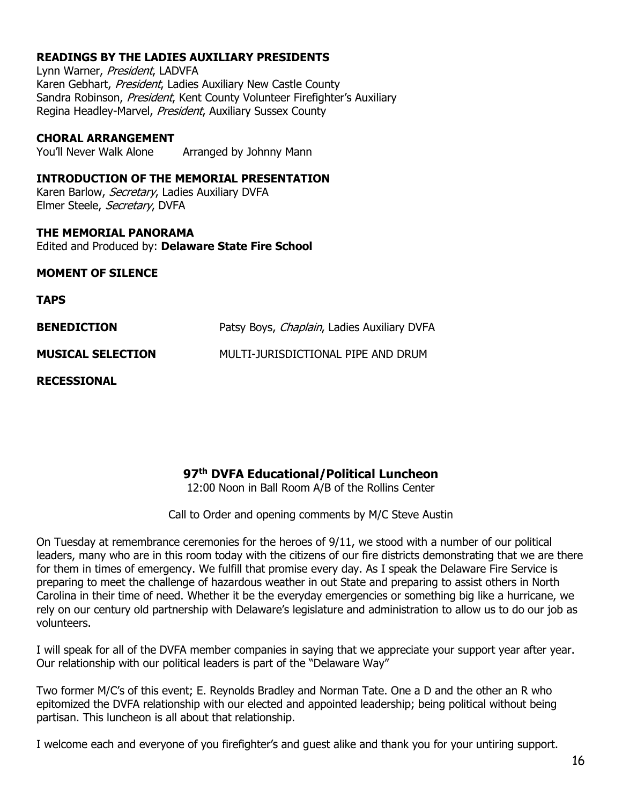#### **READINGS BY THE LADIES AUXILIARY PRESIDENTS**

Lynn Warner, President, LADVFA Karen Gebhart, President, Ladies Auxiliary New Castle County Sandra Robinson, President, Kent County Volunteer Firefighter's Auxiliary Regina Headley-Marvel, President, Auxiliary Sussex County

#### **CHORAL ARRANGEMENT**

You'll Never Walk Alone Arranged by Johnny Mann

#### **INTRODUCTION OF THE MEMORIAL PRESENTATION**

Karen Barlow, Secretary, Ladies Auxiliary DVFA Elmer Steele, Secretary, DVFA

**THE MEMORIAL PANORAMA** Edited and Produced by: **Delaware State Fire School**

#### **MOMENT OF SILENCE**

**TAPS**

| <b>BENEDICTION</b>       | Patsy Boys, <i>Chaplain</i> , Ladies Auxiliary DVFA |
|--------------------------|-----------------------------------------------------|
| <b>MUSICAL SELECTION</b> | MULTI-JURISDICTIONAL PIPE AND DRUM                  |

**RECESSIONAL**

### **97 th DVFA Educational/Political Luncheon**

12:00 Noon in Ball Room A/B of the Rollins Center

Call to Order and opening comments by M/C Steve Austin

On Tuesday at remembrance ceremonies for the heroes of 9/11, we stood with a number of our political leaders, many who are in this room today with the citizens of our fire districts demonstrating that we are there for them in times of emergency. We fulfill that promise every day. As I speak the Delaware Fire Service is preparing to meet the challenge of hazardous weather in out State and preparing to assist others in North Carolina in their time of need. Whether it be the everyday emergencies or something big like a hurricane, we rely on our century old partnership with Delaware's legislature and administration to allow us to do our job as volunteers.

I will speak for all of the DVFA member companies in saying that we appreciate your support year after year. Our relationship with our political leaders is part of the "Delaware Way"

Two former M/C's of this event; E. Reynolds Bradley and Norman Tate. One a D and the other an R who epitomized the DVFA relationship with our elected and appointed leadership; being political without being partisan. This luncheon is all about that relationship.

I welcome each and everyone of you firefighter's and guest alike and thank you for your untiring support.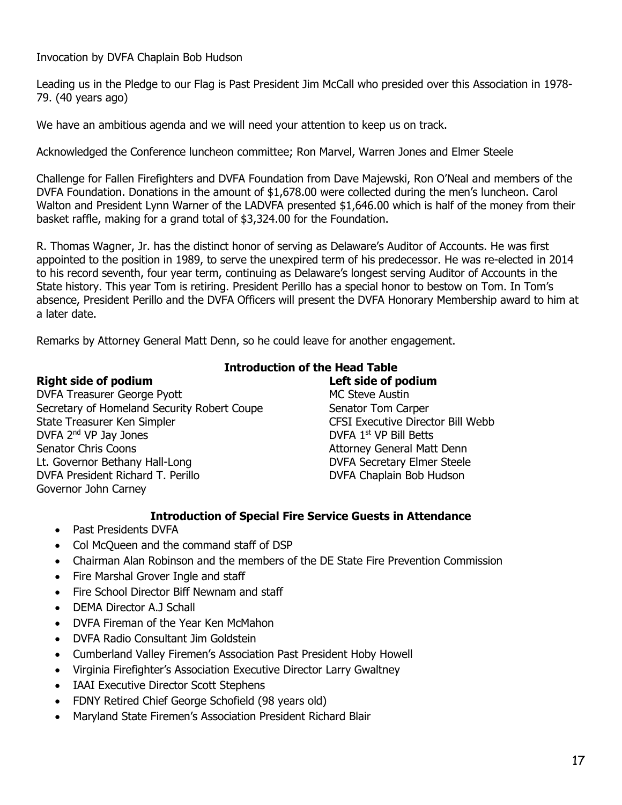Invocation by DVFA Chaplain Bob Hudson

Leading us in the Pledge to our Flag is Past President Jim McCall who presided over this Association in 1978- 79. (40 years ago)

We have an ambitious agenda and we will need your attention to keep us on track.

Acknowledged the Conference luncheon committee; Ron Marvel, Warren Jones and Elmer Steele

Challenge for Fallen Firefighters and DVFA Foundation from Dave Majewski, Ron O'Neal and members of the DVFA Foundation. Donations in the amount of \$1,678.00 were collected during the men's luncheon. Carol Walton and President Lynn Warner of the LADVFA presented \$1,646.00 which is half of the money from their basket raffle, making for a grand total of \$3,324.00 for the Foundation.

R. Thomas Wagner, Jr. has the distinct honor of serving as Delaware's Auditor of Accounts. He was first appointed to the position in 1989, to serve the unexpired term of his predecessor. He was re-elected in 2014 to his record seventh, four year term, continuing as Delaware's longest serving Auditor of Accounts in the State history. This year Tom is retiring. President Perillo has a special honor to bestow on Tom. In Tom's absence, President Perillo and the DVFA Officers will present the DVFA Honorary Membership award to him at a later date.

Remarks by Attorney General Matt Denn, so he could leave for another engagement.

DVFA Treasurer George Pyott No. 2012 19:30 MC Steve Austin Secretary of Homeland Security Robert Coupe Senator Tom Carper State Treasurer Ken Simpler CFSI Executive Director Bill Webb DVFA 2<sup>nd</sup> VP Jay Jones DVFA 1<sup>st</sup> VP Bill Betts Senator Chris Coons **Attorney General Matt Denn** Lt. Governor Bethany Hall-Long **DVFA Secretary Elmer Steele** DVFA President Richard T. Perillo DVFA Chaplain Bob Hudson Governor John Carney

# **Introduction of the Head Table**

#### **Right side of podium Left side of podium**

#### **Introduction of Special Fire Service Guests in Attendance**

- Past Presidents DVFA
- Col McQueen and the command staff of DSP
- Chairman Alan Robinson and the members of the DE State Fire Prevention Commission
- Fire Marshal Grover Ingle and staff
- Fire School Director Biff Newnam and staff
- DEMA Director A.J Schall
- DVFA Fireman of the Year Ken McMahon
- DVFA Radio Consultant Jim Goldstein
- Cumberland Valley Firemen's Association Past President Hoby Howell
- Virginia Firefighter's Association Executive Director Larry Gwaltney
- IAAI Executive Director Scott Stephens
- FDNY Retired Chief George Schofield (98 years old)
- Maryland State Firemen's Association President Richard Blair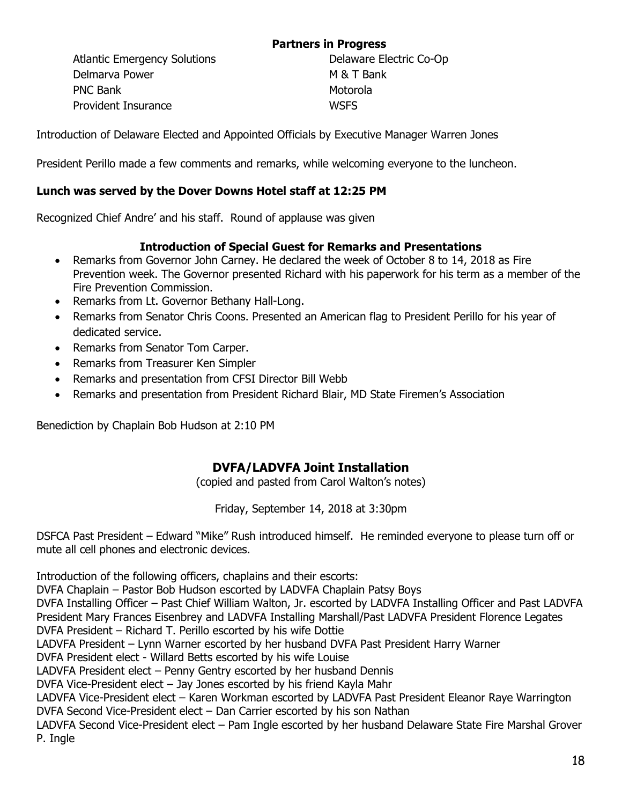## **Partners in Progress**

Atlantic Emergency Solutions **Delaware Electric Co-Op** Delmarva Power M & T Bank PNC Bank Motorola Provident Insurance WSFS

Introduction of Delaware Elected and Appointed Officials by Executive Manager Warren Jones

President Perillo made a few comments and remarks, while welcoming everyone to the luncheon.

#### **Lunch was served by the Dover Downs Hotel staff at 12:25 PM**

Recognized Chief Andre' and his staff. Round of applause was given

### **Introduction of Special Guest for Remarks and Presentations**

- Remarks from Governor John Carney. He declared the week of October 8 to 14, 2018 as Fire Prevention week. The Governor presented Richard with his paperwork for his term as a member of the Fire Prevention Commission.
- Remarks from Lt. Governor Bethany Hall-Long.
- Remarks from Senator Chris Coons. Presented an American flag to President Perillo for his year of dedicated service.
- Remarks from Senator Tom Carper.
- Remarks from Treasurer Ken Simpler
- Remarks and presentation from CFSI Director Bill Webb
- Remarks and presentation from President Richard Blair, MD State Firemen's Association

Benediction by Chaplain Bob Hudson at 2:10 PM

## **DVFA/LADVFA Joint Installation**

(copied and pasted from Carol Walton's notes)

Friday, September 14, 2018 at 3:30pm

DSFCA Past President – Edward "Mike" Rush introduced himself. He reminded everyone to please turn off or mute all cell phones and electronic devices.

Introduction of the following officers, chaplains and their escorts: DVFA Chaplain – Pastor Bob Hudson escorted by LADVFA Chaplain Patsy Boys

DVFA Installing Officer – Past Chief William Walton, Jr. escorted by LADVFA Installing Officer and Past LADVFA President Mary Frances Eisenbrey and LADVFA Installing Marshall/Past LADVFA President Florence Legates

DVFA President – Richard T. Perillo escorted by his wife Dottie

LADVFA President – Lynn Warner escorted by her husband DVFA Past President Harry Warner

DVFA President elect - Willard Betts escorted by his wife Louise

LADVFA President elect – Penny Gentry escorted by her husband Dennis

DVFA Vice-President elect – Jay Jones escorted by his friend Kayla Mahr

LADVFA Vice-President elect – Karen Workman escorted by LADVFA Past President Eleanor Raye Warrington DVFA Second Vice-President elect – Dan Carrier escorted by his son Nathan

LADVFA Second Vice-President elect – Pam Ingle escorted by her husband Delaware State Fire Marshal Grover P. Ingle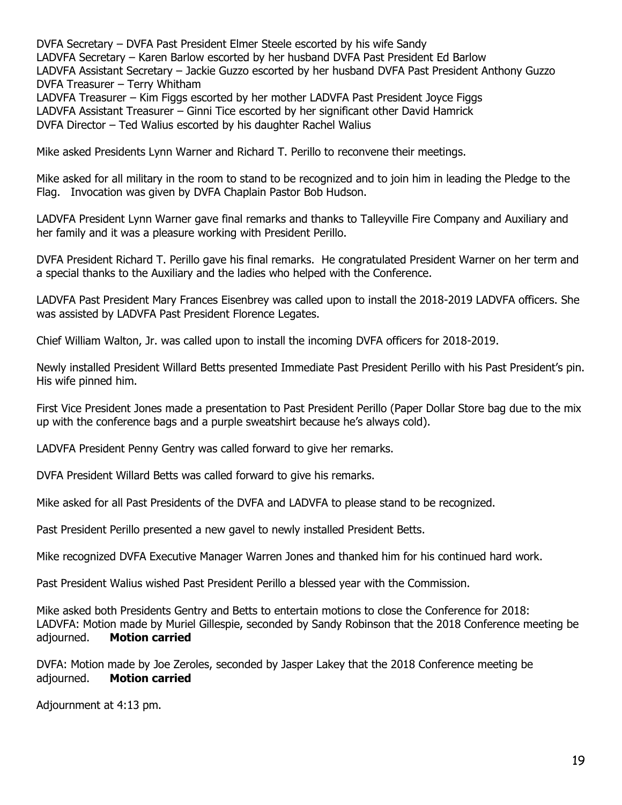DVFA Secretary – DVFA Past President Elmer Steele escorted by his wife Sandy LADVFA Secretary – Karen Barlow escorted by her husband DVFA Past President Ed Barlow LADVFA Assistant Secretary – Jackie Guzzo escorted by her husband DVFA Past President Anthony Guzzo DVFA Treasurer – Terry Whitham LADVFA Treasurer – Kim Figgs escorted by her mother LADVFA Past President Joyce Figgs

LADVFA Assistant Treasurer – Ginni Tice escorted by her significant other David Hamrick

DVFA Director – Ted Walius escorted by his daughter Rachel Walius

Mike asked Presidents Lynn Warner and Richard T. Perillo to reconvene their meetings.

Mike asked for all military in the room to stand to be recognized and to join him in leading the Pledge to the Flag. Invocation was given by DVFA Chaplain Pastor Bob Hudson.

LADVFA President Lynn Warner gave final remarks and thanks to Talleyville Fire Company and Auxiliary and her family and it was a pleasure working with President Perillo.

DVFA President Richard T. Perillo gave his final remarks. He congratulated President Warner on her term and a special thanks to the Auxiliary and the ladies who helped with the Conference.

LADVFA Past President Mary Frances Eisenbrey was called upon to install the 2018-2019 LADVFA officers. She was assisted by LADVFA Past President Florence Legates.

Chief William Walton, Jr. was called upon to install the incoming DVFA officers for 2018-2019.

Newly installed President Willard Betts presented Immediate Past President Perillo with his Past President's pin. His wife pinned him.

First Vice President Jones made a presentation to Past President Perillo (Paper Dollar Store bag due to the mix up with the conference bags and a purple sweatshirt because he's always cold).

LADVFA President Penny Gentry was called forward to give her remarks.

DVFA President Willard Betts was called forward to give his remarks.

Mike asked for all Past Presidents of the DVFA and LADVFA to please stand to be recognized.

Past President Perillo presented a new gavel to newly installed President Betts.

Mike recognized DVFA Executive Manager Warren Jones and thanked him for his continued hard work.

Past President Walius wished Past President Perillo a blessed year with the Commission.

Mike asked both Presidents Gentry and Betts to entertain motions to close the Conference for 2018: LADVFA: Motion made by Muriel Gillespie, seconded by Sandy Robinson that the 2018 Conference meeting be adjourned. **Motion carried**

DVFA: Motion made by Joe Zeroles, seconded by Jasper Lakey that the 2018 Conference meeting be adjourned. **Motion carried**

Adjournment at 4:13 pm.